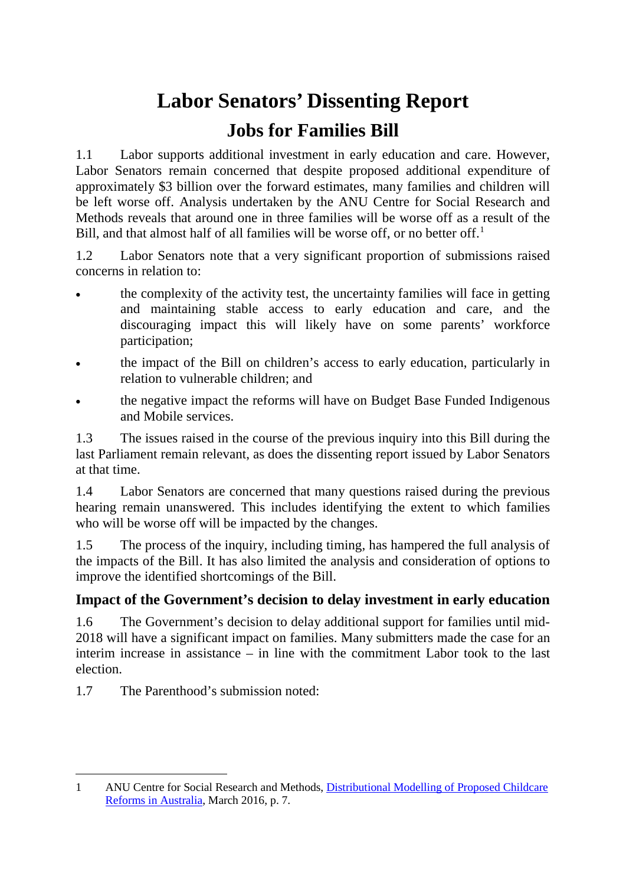# **Labor Senators' Dissenting Report Jobs for Families Bill**

1.1 Labor supports additional investment in early education and care. However, Labor Senators remain concerned that despite proposed additional expenditure of approximately \$3 billion over the forward estimates, many families and children will be left worse off. Analysis undertaken by the ANU Centre for Social Research and Methods reveals that around one in three families will be worse off as a result of the Bill, and that almost half of all families will be worse off, or no better off.<sup>[1](#page-0-0)</sup>

1.2 Labor Senators note that a very significant proportion of submissions raised concerns in relation to:

- the complexity of the activity test, the uncertainty families will face in getting and maintaining stable access to early education and care, and the discouraging impact this will likely have on some parents' workforce participation;
- the impact of the Bill on children's access to early education, particularly in relation to vulnerable children; and
- the negative impact the reforms will have on Budget Base Funded Indigenous and Mobile services.

1.3 The issues raised in the course of the previous inquiry into this Bill during the last Parliament remain relevant, as does the dissenting report issued by Labor Senators at that time.

1.4 Labor Senators are concerned that many questions raised during the previous hearing remain unanswered. This includes identifying the extent to which families who will be worse off will be impacted by the changes.

1.5 The process of the inquiry, including timing, has hampered the full analysis of the impacts of the Bill. It has also limited the analysis and consideration of options to improve the identified shortcomings of the Bill.

# **Impact of the Government's decision to delay investment in early education**

1.6 The Government's decision to delay additional support for families until mid-2018 will have a significant impact on families. Many submitters made the case for an interim increase in assistance – in line with the commitment Labor took to the last election.

1.7 The Parenthood's submission noted:

<span id="page-0-0"></span><sup>-</sup>1 ANU Centre for Social Research and Methods, [Distributional Modelling of Proposed Childcare](http://rsss.anu.edu.au/sites/default/files/Childcare_reforms.pdf)  [Reforms in Australia,](http://rsss.anu.edu.au/sites/default/files/Childcare_reforms.pdf) March 2016, p. 7.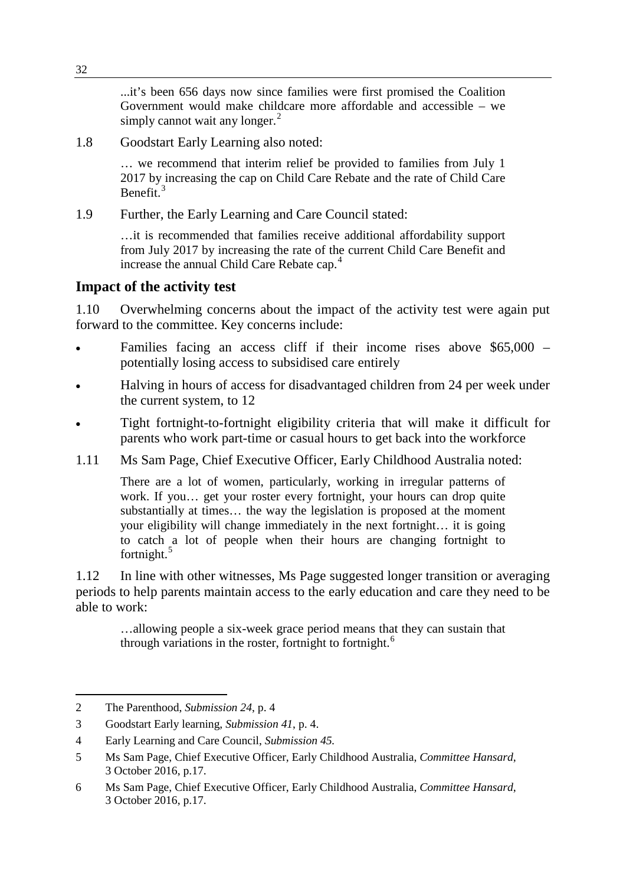...it's been 656 days now since families were first promised the Coalition Government would make childcare more affordable and accessible – we simply cannot wait any longer. $<sup>2</sup>$  $<sup>2</sup>$  $<sup>2</sup>$ </sup>

1.8 Goodstart Early Learning also noted:

… we recommend that interim relief be provided to families from July 1 2017 by increasing the cap on Child Care Rebate and the rate of Child Care Benefit $3$ 

1.9 Further, the Early Learning and Care Council stated:

…it is recommended that families receive additional affordability support from July 2017 by increasing the rate of the current Child Care Benefit and increase the annual Child Care Rebate cap.<sup>[4](#page-1-2)</sup>

### **Impact of the activity test**

1.10 Overwhelming concerns about the impact of the activity test were again put forward to the committee. Key concerns include:

- Families facing an access cliff if their income rises above \$65,000 potentially losing access to subsidised care entirely
- Halving in hours of access for disadvantaged children from 24 per week under the current system, to 12
- Tight fortnight-to-fortnight eligibility criteria that will make it difficult for parents who work part-time or casual hours to get back into the workforce
- 1.11 Ms Sam Page, Chief Executive Officer, Early Childhood Australia noted:

There are a lot of women, particularly, working in irregular patterns of work. If you… get your roster every fortnight, your hours can drop quite substantially at times… the way the legislation is proposed at the moment your eligibility will change immediately in the next fortnight… it is going to catch a lot of people when their hours are changing fortnight to fortnight.<sup>[5](#page-1-3)</sup>

1.12 In line with other witnesses, Ms Page suggested longer transition or averaging periods to help parents maintain access to the early education and care they need to be able to work:

…allowing people a six-week grace period means that they can sustain that through variations in the roster, fortnight to fortnight.<sup>[6](#page-1-4)</sup>

-

<span id="page-1-0"></span><sup>2</sup> The Parenthood, *Submission 24*, p. 4

<span id="page-1-1"></span><sup>3</sup> Goodstart Early learning, *Submission 41*, p. 4.

<span id="page-1-2"></span><sup>4</sup> Early Learning and Care Council, *Submission 45.*

<span id="page-1-3"></span><sup>5</sup> Ms Sam Page, Chief Executive Officer, Early Childhood Australia, *Committee Hansard*, 3 October 2016, p.17.

<span id="page-1-4"></span><sup>6</sup> Ms Sam Page, Chief Executive Officer, Early Childhood Australia, *Committee Hansard*, 3 October 2016, p.17.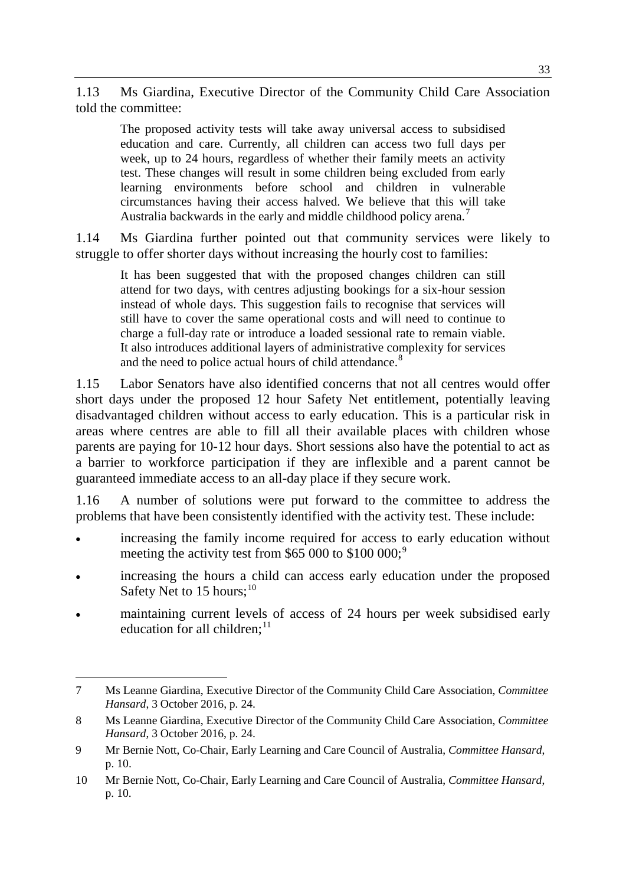1.13 Ms Giardina, Executive Director of the Community Child Care Association told the committee:

The proposed activity tests will take away universal access to subsidised education and care. Currently, all children can access two full days per week, up to 24 hours, regardless of whether their family meets an activity test. These changes will result in some children being excluded from early learning environments before school and children in vulnerable circumstances having their access halved. We believe that this will take Australia backwards in the early and middle childhood policy arena.<sup>[7](#page-2-0)</sup>

1.14 Ms Giardina further pointed out that community services were likely to struggle to offer shorter days without increasing the hourly cost to families:

It has been suggested that with the proposed changes children can still attend for two days, with centres adjusting bookings for a six-hour session instead of whole days. This suggestion fails to recognise that services will still have to cover the same operational costs and will need to continue to charge a full-day rate or introduce a loaded sessional rate to remain viable. It also introduces additional layers of administrative complexity for services and the need to police actual hours of child attendance.<sup>[8](#page-2-1)</sup>

1.15 Labor Senators have also identified concerns that not all centres would offer short days under the proposed 12 hour Safety Net entitlement, potentially leaving disadvantaged children without access to early education. This is a particular risk in areas where centres are able to fill all their available places with children whose parents are paying for 10-12 hour days. Short sessions also have the potential to act as a barrier to workforce participation if they are inflexible and a parent cannot be guaranteed immediate access to an all-day place if they secure work.

1.16 A number of solutions were put forward to the committee to address the problems that have been consistently identified with the activity test. These include:

- increasing the family income required for access to early education without meeting the activity test from \$65 000 to \$100 000;<sup>[9](#page-2-2)</sup>
- increasing the hours a child can access early education under the proposed Safety Net to 15 hours;<sup>[10](#page-2-3)</sup>
- maintaining current levels of access of 24 hours per week subsidised early education for all children;<sup>[11](#page-2-4)</sup>

<span id="page-2-0"></span><sup>-</sup>7 Ms Leanne Giardina, Executive Director of the Community Child Care Association, *Committee Hansard*, 3 October 2016, p. 24.

<span id="page-2-4"></span><span id="page-2-1"></span><sup>8</sup> Ms Leanne Giardina, Executive Director of the Community Child Care Association, *Committee Hansard*, 3 October 2016, p. 24.

<span id="page-2-2"></span><sup>9</sup> Mr Bernie Nott, Co-Chair, Early Learning and Care Council of Australia, *Committee Hansard*, p. 10.

<span id="page-2-3"></span><sup>10</sup> Mr Bernie Nott, Co-Chair, Early Learning and Care Council of Australia, *Committee Hansard*, p. 10.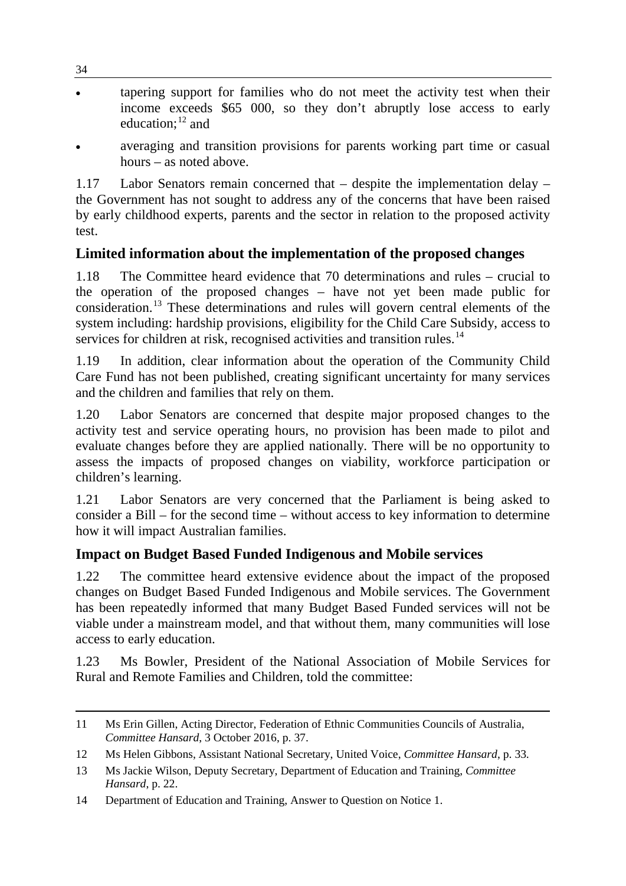tapering support for families who do not meet the activity test when their income exceeds \$65 000, so they don't abruptly lose access to early education; [12](#page-3-0) and

34

• averaging and transition provisions for parents working part time or casual hours – as noted above.

1.17 Labor Senators remain concerned that – despite the implementation delay – the Government has not sought to address any of the concerns that have been raised by early childhood experts, parents and the sector in relation to the proposed activity test.

# **Limited information about the implementation of the proposed changes**

1.18 The Committee heard evidence that 70 determinations and rules – crucial to the operation of the proposed changes – have not yet been made public for consideration.[13](#page-3-1) These determinations and rules will govern central elements of the system including: hardship provisions, eligibility for the Child Care Subsidy, access to services for children at risk, recognised activities and transition rules.<sup>[14](#page-3-2)</sup>

1.19 In addition, clear information about the operation of the Community Child Care Fund has not been published, creating significant uncertainty for many services and the children and families that rely on them.

1.20 Labor Senators are concerned that despite major proposed changes to the activity test and service operating hours, no provision has been made to pilot and evaluate changes before they are applied nationally. There will be no opportunity to assess the impacts of proposed changes on viability, workforce participation or children's learning.

1.21 Labor Senators are very concerned that the Parliament is being asked to consider a Bill – for the second time – without access to key information to determine how it will impact Australian families.

# **Impact on Budget Based Funded Indigenous and Mobile services**

1.22 The committee heard extensive evidence about the impact of the proposed changes on Budget Based Funded Indigenous and Mobile services. The Government has been repeatedly informed that many Budget Based Funded services will not be viable under a mainstream model, and that without them, many communities will lose access to early education.

1.23 Ms Bowler, President of the National Association of Mobile Services for Rural and Remote Families and Children, told the committee:

<sup>-</sup>11 Ms Erin Gillen, Acting Director, Federation of Ethnic Communities Councils of Australia, *Committee Hansard*, 3 October 2016, p. 37.

<span id="page-3-0"></span><sup>12</sup> Ms Helen Gibbons, Assistant National Secretary, United Voice, *Committee Hansard*, p. 33.

<span id="page-3-1"></span><sup>13</sup> Ms Jackie Wilson, Deputy Secretary, Department of Education and Training, *Committee Hansard*, p. 22.

<span id="page-3-2"></span><sup>14</sup> Department of Education and Training, Answer to Question on Notice 1.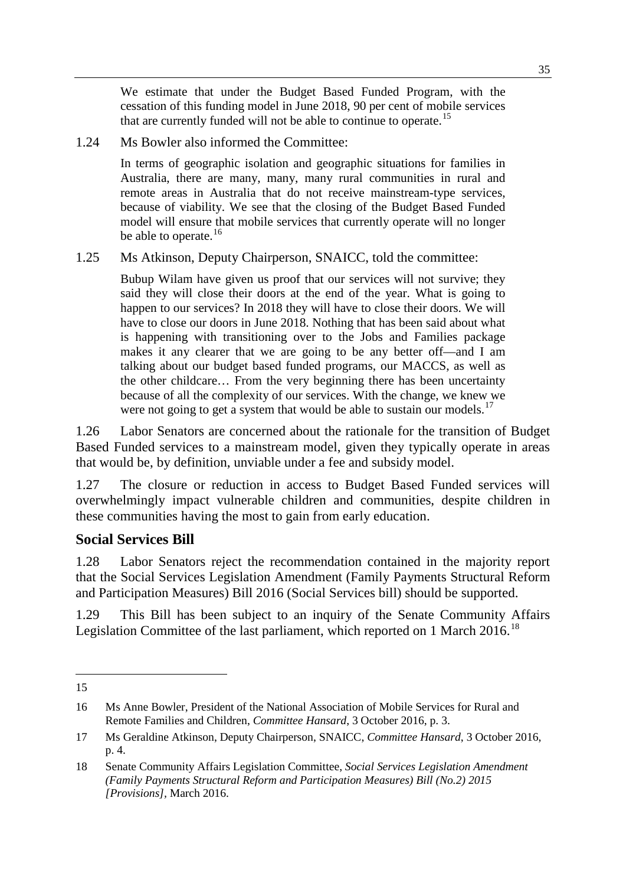We estimate that under the Budget Based Funded Program, with the cessation of this funding model in June 2018, 90 per cent of mobile services that are currently funded will not be able to continue to operate.<sup>[15](#page-4-0)</sup>

1.24 Ms Bowler also informed the Committee:

In terms of geographic isolation and geographic situations for families in Australia, there are many, many, many rural communities in rural and remote areas in Australia that do not receive mainstream-type services, because of viability. We see that the closing of the Budget Based Funded model will ensure that mobile services that currently operate will no longer be able to operate. $16$ 

#### 1.25 Ms Atkinson, Deputy Chairperson, SNAICC, told the committee:

Bubup Wilam have given us proof that our services will not survive; they said they will close their doors at the end of the year. What is going to happen to our services? In 2018 they will have to close their doors. We will have to close our doors in June 2018. Nothing that has been said about what is happening with transitioning over to the Jobs and Families package makes it any clearer that we are going to be any better off—and I am talking about our budget based funded programs, our MACCS, as well as the other childcare… From the very beginning there has been uncertainty because of all the complexity of our services. With the change, we knew we were not going to get a system that would be able to sustain our models.<sup>[17](#page-4-2)</sup>

1.26 Labor Senators are concerned about the rationale for the transition of Budget Based Funded services to a mainstream model, given they typically operate in areas that would be, by definition, unviable under a fee and subsidy model.

1.27 The closure or reduction in access to Budget Based Funded services will overwhelmingly impact vulnerable children and communities, despite children in these communities having the most to gain from early education.

#### **Social Services Bill**

1.28 Labor Senators reject the recommendation contained in the majority report that the Social Services Legislation Amendment (Family Payments Structural Reform and Participation Measures) Bill 2016 (Social Services bill) should be supported.

1.29 This Bill has been subject to an inquiry of the Senate Community Affairs Legislation Committee of the last parliament, which reported on 1 March 2016.<sup>[18](#page-4-3)</sup>

<span id="page-4-0"></span><sup>-</sup>15

<span id="page-4-1"></span><sup>16</sup> Ms Anne Bowler, President of the National Association of Mobile Services for Rural and Remote Families and Children, *Committee Hansard*, 3 October 2016, p. 3.

<span id="page-4-2"></span><sup>17</sup> Ms Geraldine Atkinson, Deputy Chairperson, SNAICC, *Committee Hansard*, 3 October 2016, p. 4.

<span id="page-4-3"></span><sup>18</sup> Senate Community Affairs Legislation Committee, *Social Services Legislation Amendment (Family Payments Structural Reform and Participation Measures) Bill (No.2) 2015 [Provisions],* March 2016.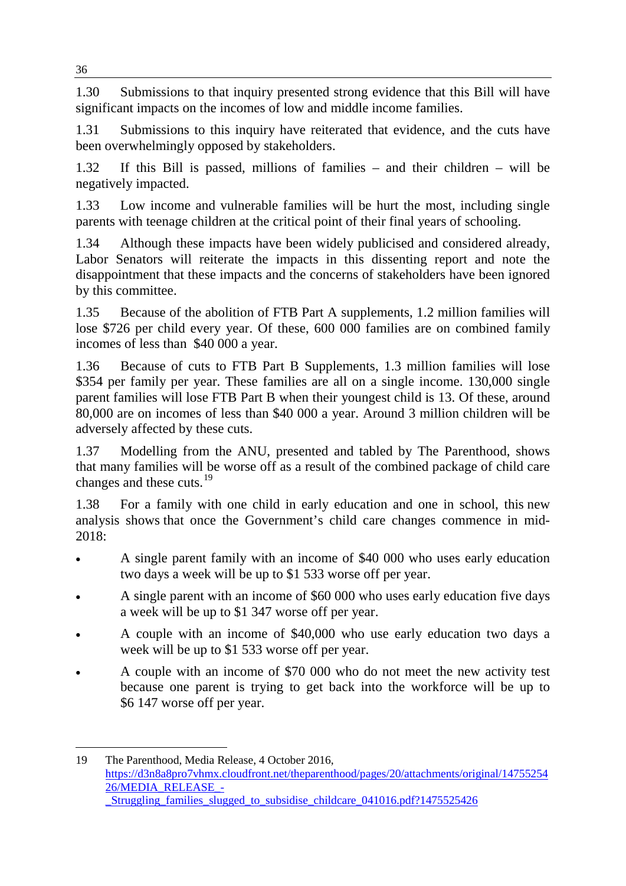1.30 Submissions to that inquiry presented strong evidence that this Bill will have significant impacts on the incomes of low and middle income families.

1.31 Submissions to this inquiry have reiterated that evidence, and the cuts have been overwhelmingly opposed by stakeholders.

1.32 If this Bill is passed, millions of families – and their children – will be negatively impacted.

1.33 Low income and vulnerable families will be hurt the most, including single parents with teenage children at the critical point of their final years of schooling.

1.34 Although these impacts have been widely publicised and considered already, Labor Senators will reiterate the impacts in this dissenting report and note the disappointment that these impacts and the concerns of stakeholders have been ignored by this committee.

1.35 Because of the abolition of FTB Part A supplements, 1.2 million families will lose \$726 per child every year. Of these, 600 000 families are on combined family incomes of less than \$40 000 a year.

1.36 Because of cuts to FTB Part B Supplements, 1.3 million families will lose \$354 per family per year. These families are all on a single income. 130,000 single parent families will lose FTB Part B when their youngest child is 13. Of these, around 80,000 are on incomes of less than \$40 000 a year. Around 3 million children will be adversely affected by these cuts.

1.37 Modelling from the ANU, presented and tabled by The Parenthood, shows that many families will be worse off as a result of the combined package of child care changes and these cuts.<sup>[19](#page-5-0)</sup>

1.38 For a family with one child in early education and one in school, this new analysis shows that once the Government's child care changes commence in mid-2018:

- A single parent family with an income of \$40 000 who uses early education two days a week will be up to \$1 533 worse off per year.
- A single parent with an income of \$60 000 who uses early education five days a week will be up to \$1 347 worse off per year.
- A couple with an income of \$40,000 who use early education two days a week will be up to \$1 533 worse off per year.
- A couple with an income of \$70 000 who do not meet the new activity test because one parent is trying to get back into the workforce will be up to \$6 147 worse off per year.

<span id="page-5-0"></span><sup>-</sup>19 The Parenthood, Media Release, 4 October 2016, [https://d3n8a8pro7vhmx.cloudfront.net/theparenthood/pages/20/attachments/original/14755254](https://d3n8a8pro7vhmx.cloudfront.net/theparenthood/pages/20/attachments/original/1475525426/MEDIA_RELEASE_-_Struggling_families_slugged_to_subsidise_childcare_041016.pdf?1475525426) [26/MEDIA\\_RELEASE\\_-](https://d3n8a8pro7vhmx.cloudfront.net/theparenthood/pages/20/attachments/original/1475525426/MEDIA_RELEASE_-_Struggling_families_slugged_to_subsidise_childcare_041016.pdf?1475525426) [\\_Struggling\\_families\\_slugged\\_to\\_subsidise\\_childcare\\_041016.pdf?1475525426](https://d3n8a8pro7vhmx.cloudfront.net/theparenthood/pages/20/attachments/original/1475525426/MEDIA_RELEASE_-_Struggling_families_slugged_to_subsidise_childcare_041016.pdf?1475525426)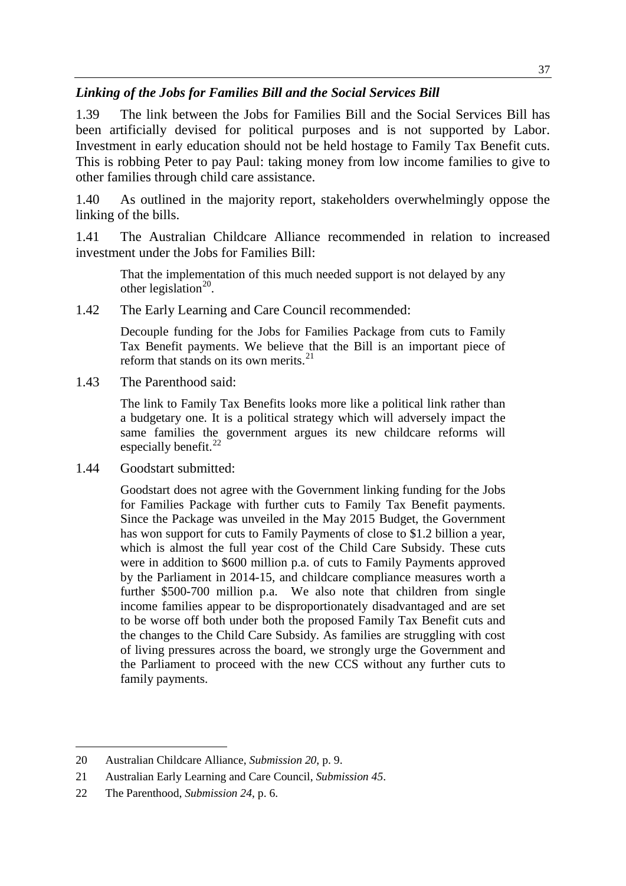## *Linking of the Jobs for Families Bill and the Social Services Bill*

1.39 The link between the Jobs for Families Bill and the Social Services Bill has been artificially devised for political purposes and is not supported by Labor. Investment in early education should not be held hostage to Family Tax Benefit cuts. This is robbing Peter to pay Paul: taking money from low income families to give to other families through child care assistance.

1.40 As outlined in the majority report, stakeholders overwhelmingly oppose the linking of the bills.

1.41 The Australian Childcare Alliance recommended in relation to increased investment under the Jobs for Families Bill:

That the implementation of this much needed support is not delayed by any other legislation<sup>20</sup>.

1.42 The Early Learning and Care Council recommended:

Decouple funding for the Jobs for Families Package from cuts to Family Tax Benefit payments. We believe that the Bill is an important piece of reform that stands on its own merits.<sup>[21](#page-6-1)</sup>

1.43 The Parenthood said:

The link to Family Tax Benefits looks more like a political link rather than a budgetary one. It is a political strategy which will adversely impact the same families the government argues its new childcare reforms will especially benefit.<sup>[22](#page-6-2)</sup>

1.44 Goodstart submitted:

Goodstart does not agree with the Government linking funding for the Jobs for Families Package with further cuts to Family Tax Benefit payments. Since the Package was unveiled in the May 2015 Budget, the Government has won support for cuts to Family Payments of close to \$1.2 billion a year, which is almost the full year cost of the Child Care Subsidy. These cuts were in addition to \$600 million p.a. of cuts to Family Payments approved by the Parliament in 2014-15, and childcare compliance measures worth a further \$500-700 million p.a. We also note that children from single income families appear to be disproportionately disadvantaged and are set to be worse off both under both the proposed Family Tax Benefit cuts and the changes to the Child Care Subsidy. As families are struggling with cost of living pressures across the board, we strongly urge the Government and the Parliament to proceed with the new CCS without any further cuts to family payments.

<span id="page-6-0"></span><sup>-</sup>20 Australian Childcare Alliance, *Submission 20*, p. 9.

<span id="page-6-1"></span><sup>21</sup> Australian Early Learning and Care Council, *Submission 45*.

<span id="page-6-2"></span><sup>22</sup> The Parenthood, *Submission 24*, p. 6.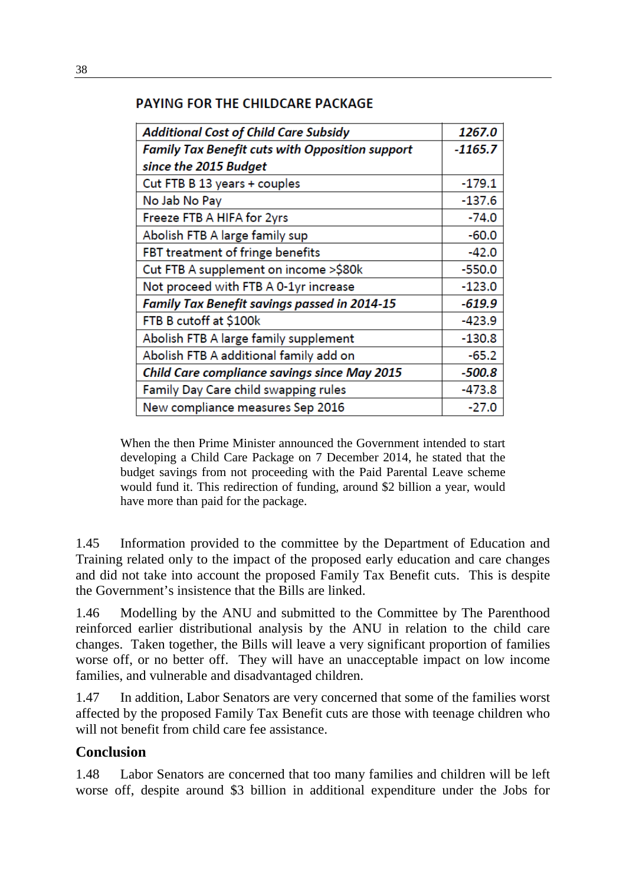## PAYING FOR THE CHILDCARE PACKAGE

| <b>Additional Cost of Child Care Subsidy</b>           | 1267.0    |
|--------------------------------------------------------|-----------|
| <b>Family Tax Benefit cuts with Opposition support</b> | $-1165.7$ |
| since the 2015 Budget                                  |           |
| Cut FTB B 13 years + couples                           | $-179.1$  |
| No Jab No Pay                                          | $-137.6$  |
| Freeze FTB A HIFA for 2yrs                             | $-74.0$   |
| Abolish FTB A large family sup                         | $-60.0$   |
| FBT treatment of fringe benefits                       | $-42.0$   |
| Cut FTB A supplement on income >\$80k                  | $-550.0$  |
| Not proceed with FTB A 0-1yr increase                  | $-123.0$  |
| <b>Family Tax Benefit savings passed in 2014-15</b>    | $-619.9$  |
| FTB B cutoff at \$100k                                 | $-423.9$  |
| Abolish FTB A large family supplement                  | $-130.8$  |
| Abolish FTB A additional family add on                 | $-65.2$   |
| Child Care compliance savings since May 2015           | $-500.8$  |
| Family Day Care child swapping rules                   | $-473.8$  |
| New compliance measures Sep 2016                       | $-27.0$   |

When the then Prime Minister announced the Government intended to start developing a Child Care Package on 7 December 2014, he stated that the budget savings from not proceeding with the Paid Parental Leave scheme would fund it. This redirection of funding, around \$2 billion a year, would have more than paid for the package.

1.45 Information provided to the committee by the Department of Education and Training related only to the impact of the proposed early education and care changes and did not take into account the proposed Family Tax Benefit cuts. This is despite the Government's insistence that the Bills are linked.

1.46 Modelling by the ANU and submitted to the Committee by The Parenthood reinforced earlier distributional analysis by the ANU in relation to the child care changes. Taken together, the Bills will leave a very significant proportion of families worse off, or no better off. They will have an unacceptable impact on low income families, and vulnerable and disadvantaged children.

1.47 In addition, Labor Senators are very concerned that some of the families worst affected by the proposed Family Tax Benefit cuts are those with teenage children who will not benefit from child care fee assistance.

# **Conclusion**

1.48 Labor Senators are concerned that too many families and children will be left worse off, despite around \$3 billion in additional expenditure under the Jobs for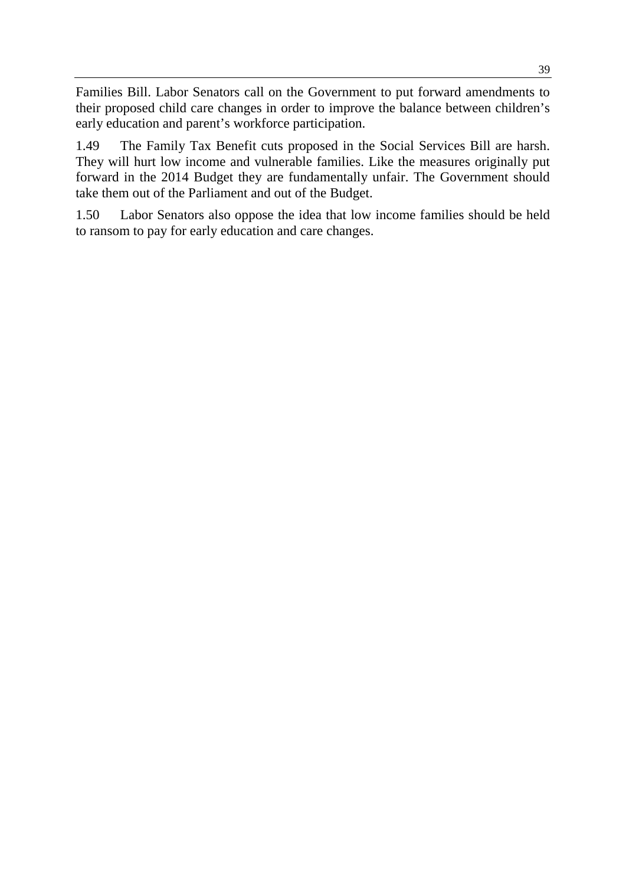Families Bill. Labor Senators call on the Government to put forward amendments to their proposed child care changes in order to improve the balance between children's early education and parent's workforce participation.

1.49 The Family Tax Benefit cuts proposed in the Social Services Bill are harsh. They will hurt low income and vulnerable families. Like the measures originally put forward in the 2014 Budget they are fundamentally unfair. The Government should take them out of the Parliament and out of the Budget.

1.50 Labor Senators also oppose the idea that low income families should be held to ransom to pay for early education and care changes.